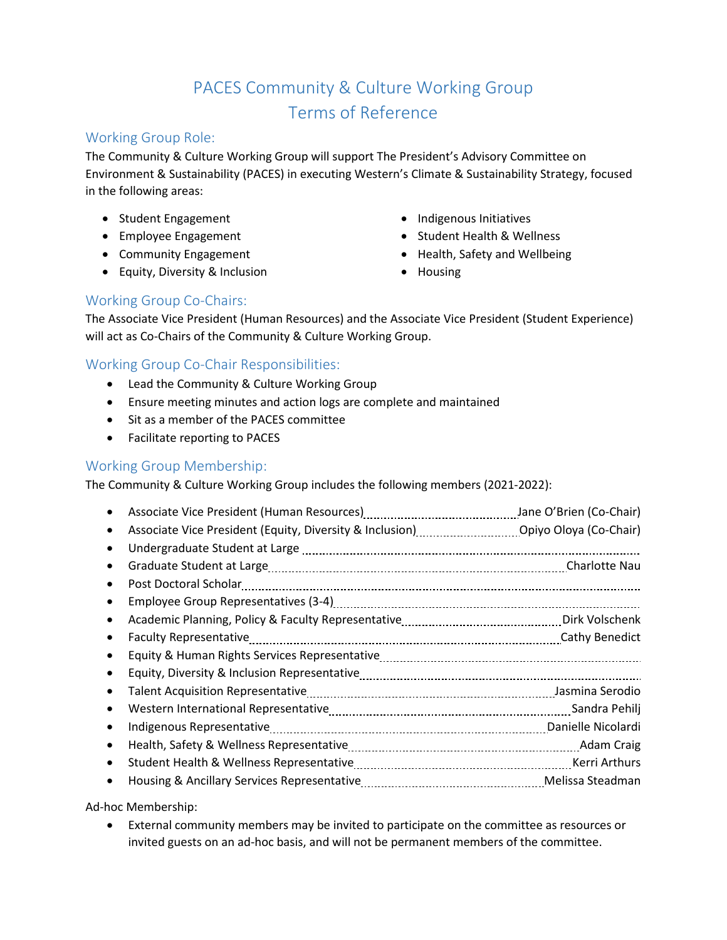# PACES Community & Culture Working Group Terms of Reference

## Working Group Role:

The Community & Culture Working Group will support The President's Advisory Committee on Environment & Sustainability (PACES) in executing Western's Climate & Sustainability Strategy, focused in the following areas:

- Student Engagement
- Employee Engagement
- Community Engagement
- Equity, Diversity & Inclusion
- Indigenous Initiatives
- Student Health & Wellness
- Health, Safety and Wellbeing
- Housing

## Working Group Co-Chairs:

The Associate Vice President (Human Resources) and the Associate Vice President (Student Experience) will act as Co-Chairs of the Community & Culture Working Group.

## Working Group Co-Chair Responsibilities:

- Lead the Community & Culture Working Group
- Ensure meeting minutes and action logs are complete and maintained
- Sit as a member of the PACES committee
- Facilitate reporting to PACES

## Working Group Membership:

The Community & Culture Working Group includes the following members (2021-2022):

|   | Associate Vice President (Human Resources) [11] Associate Vice President (Co-Chair) |  |
|---|-------------------------------------------------------------------------------------|--|
|   |                                                                                     |  |
|   |                                                                                     |  |
|   |                                                                                     |  |
|   |                                                                                     |  |
|   |                                                                                     |  |
|   |                                                                                     |  |
|   |                                                                                     |  |
|   |                                                                                     |  |
|   |                                                                                     |  |
|   |                                                                                     |  |
|   |                                                                                     |  |
|   |                                                                                     |  |
| ٠ |                                                                                     |  |
|   |                                                                                     |  |
|   | Housing & Ancillary Services Representative                                         |  |

Ad-hoc Membership:

• External community members may be invited to participate on the committee as resources or invited guests on an ad-hoc basis, and will not be permanent members of the committee.